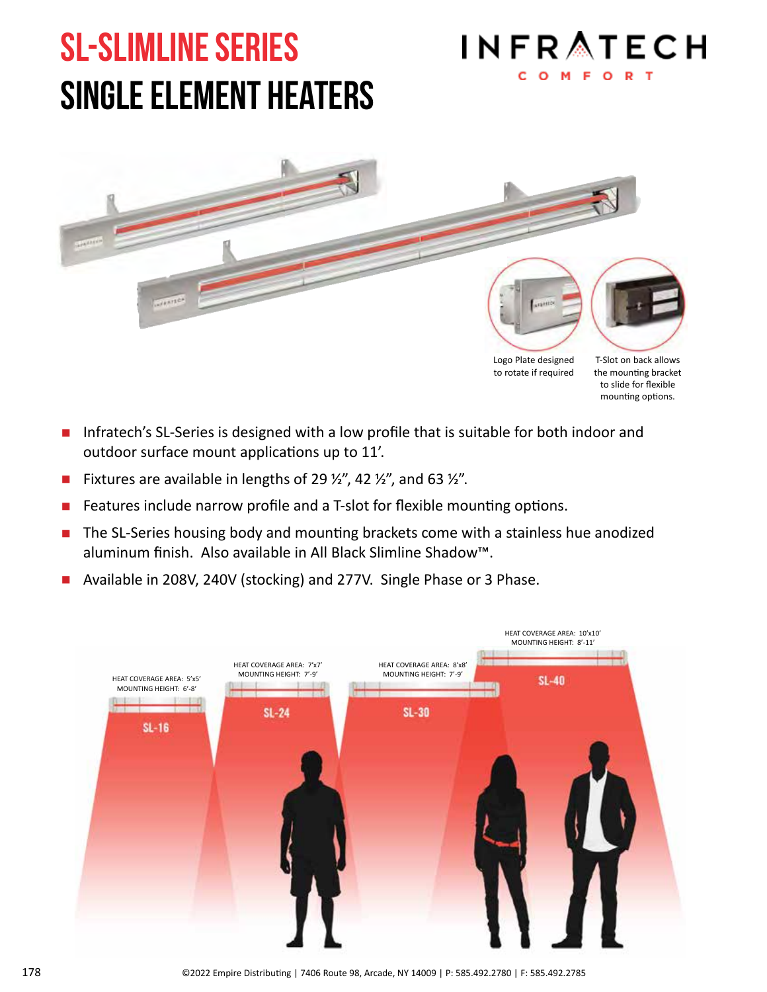# SL-slimline series single element heaters





Logo Plate designed to rotate if required

T-Slot on back allows the mounting bracket to slide for flexible mounting options.

- **I** Infratech's SL-Series is designed with a low profile that is suitable for both indoor and outdoor surface mount applications up to 11'.
- **E** Fixtures are available in lengths of 29  $\frac{1}{2}$ , 42  $\frac{1}{2}$ , and 63  $\frac{1}{2}$ .
- Features include narrow profile and a T-slot for flexible mounting options.
- The SL-Series housing body and mounting brackets come with a stainless hue anodized aluminum finish. Also available in All Black Slimline Shadow™.
- Available in 208V, 240V (stocking) and 277V. Single Phase or 3 Phase.

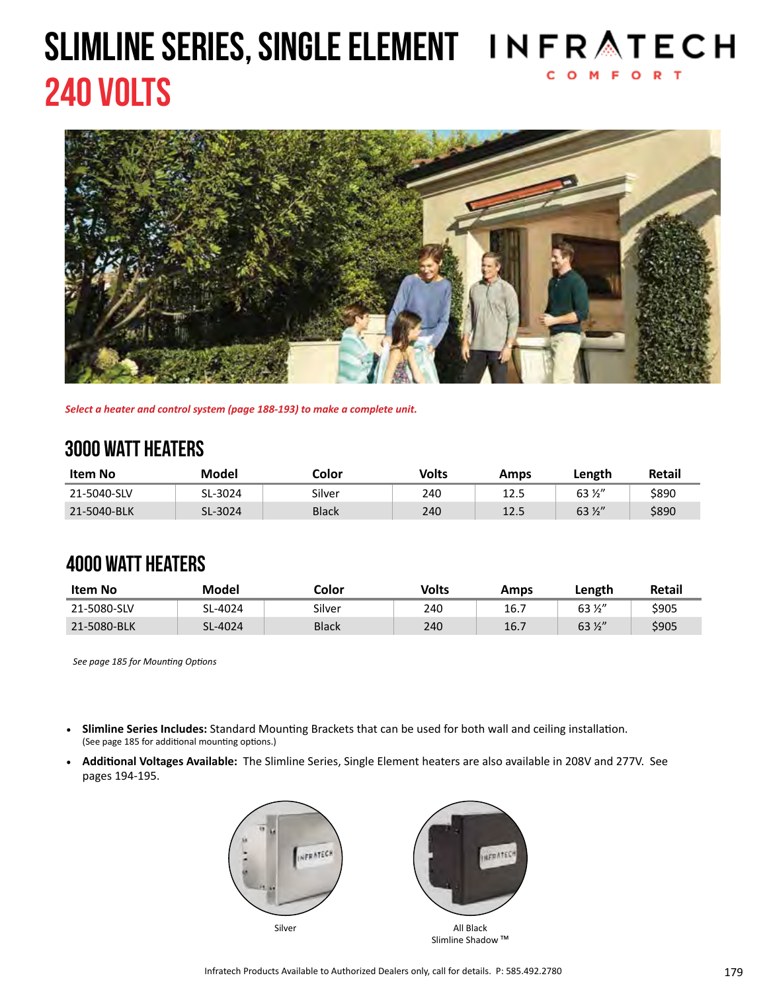# 240 VOLTS SLIMLINE SERIES, SINGLE ELEMENT IN FRATECH



*Select a heater and control system (page 188-193) to make a complete unit.*

### 3000 watt heaters

| Item No     | Model   | Color        | Volts | Amps | Length          | Retail |
|-------------|---------|--------------|-------|------|-----------------|--------|
| 21-5040-SLV | SL-3024 | Silver       | 240   | 12.5 | 63 ½"           | \$890  |
| 21-5040-BLK | SL-3024 | <b>Black</b> | 240   | 12.5 | $63\frac{1}{2}$ | \$890  |

#### 4000 watt heaters

| Item No     | Model   | Color        | Volts | Amps | Length          | <b>Retail</b> |
|-------------|---------|--------------|-------|------|-----------------|---------------|
| 21-5080-SLV | SL-4024 | Silver       | 240   | 16.7 | $63\frac{1}{2}$ | \$905         |
| 21-5080-BLK | SL-4024 | <b>Black</b> | 240   | 16.7 | $63\frac{1}{2}$ | \$905         |

*See page 185 for Mounting Options*

- **• Slimline Series Includes:** Standard Mounting Brackets that can be used for both wall and ceiling installation. (See page 185 for additional mounting options.)
- **• Additional Voltages Available:** The Slimline Series, Single Element heaters are also available in 208V and 277V. See pages 194-195.



Slimline Shadow<sup>™</sup>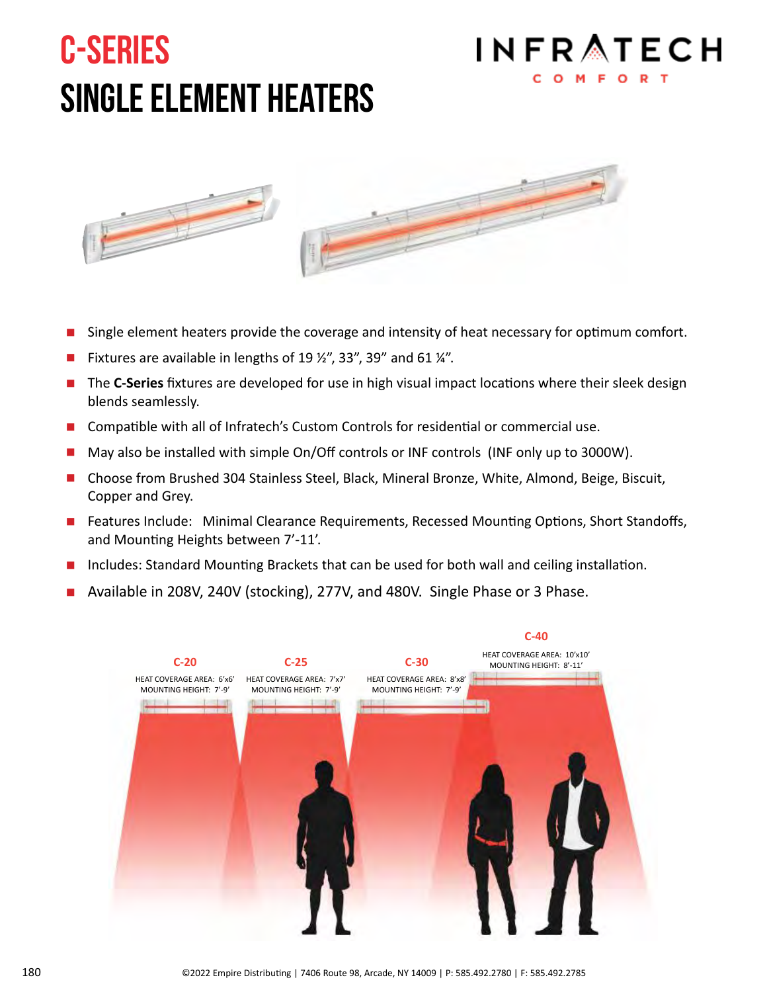# C-Series single element heaters





- Single element heaters provide the coverage and intensity of heat necessary for optimum comfort.
- Fixtures are available in lengths of 19  $\frac{1}{2}$ , 33", 39" and 61  $\frac{1}{4}$ ".
- **The C-Series** fixtures are developed for use in high visual impact locations where their sleek design blends seamlessly.
- Compatible with all of Infratech's Custom Controls for residential or commercial use.
- May also be installed with simple On/Off controls or INF controls (INF only up to 3000W).
- Choose from Brushed 304 Stainless Steel, Black, Mineral Bronze, White, Almond, Beige, Biscuit, Copper and Grey.
- Features Include: Minimal Clearance Requirements, Recessed Mounting Options, Short Standoffs, and Mounting Heights between 7'-11'.
- Includes: Standard Mounting Brackets that can be used for both wall and ceiling installation.
- Available in 208V, 240V (stocking), 277V, and 480V. Single Phase or 3 Phase.

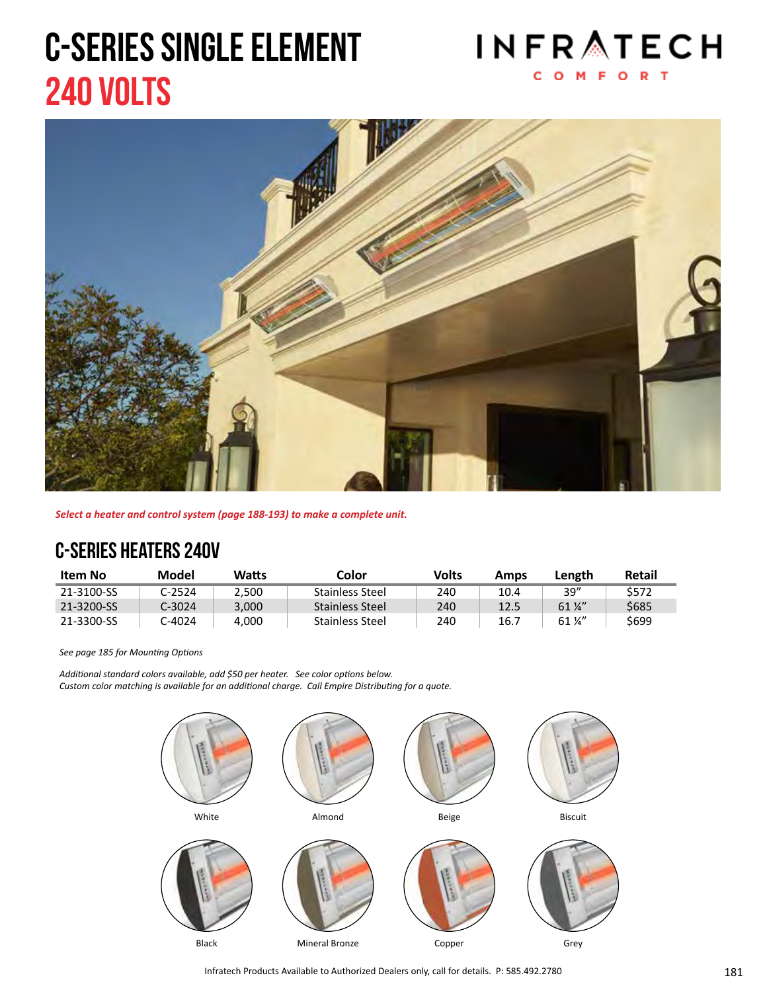# C-Series single element 240 VOLTS





*Select a heater and control system (page 188-193) to make a complete unit.*

### C-Series heaters 240v

| Item No    | Model  | Watts | Color           | Volts | Amps | Length                     | Retail      |
|------------|--------|-------|-----------------|-------|------|----------------------------|-------------|
| 21-3100-SS | ር-2524 | 2.500 | Stainless Steel | 240   | 10.4 | 39''                       | \$572       |
| 21-3200-SS | C-3024 | 3.000 | Stainless Steel | 240   | 12.5 | $61\frac{1}{4}$            | <b>S685</b> |
| 21-3300-SS | -4024. | 4.000 | Stainless Steel | 240   | 16.7 | $61\,\frac{\cancel{1}}{4}$ | \$699       |

*See page 185 for Mounting Options*

*Additional standard colors available, add \$50 per heater. See color options below. Custom color matching is available for an additional charge. Call Empire Distributing for a quote.*

![](_page_3_Picture_8.jpeg)

Infratech Products Available to Authorized Dealers only, call for details. P: 585.492.2780 **181** 181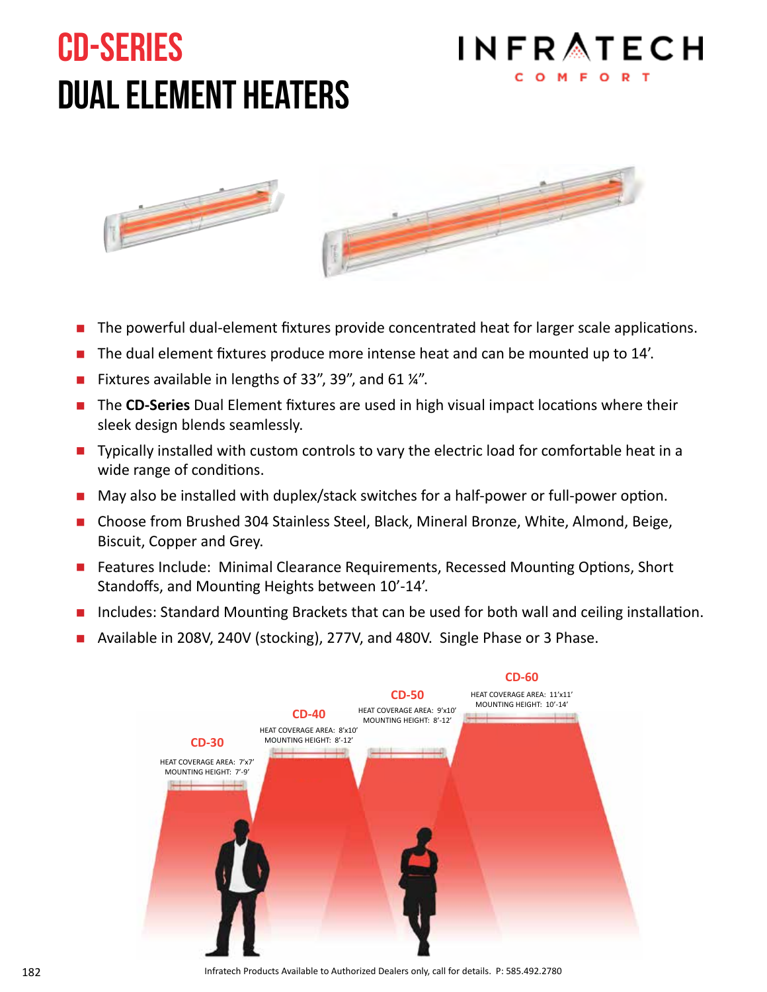# CD-series dual element heaters

# **INFRATECH**

![](_page_4_Picture_2.jpeg)

- The powerful dual-element fixtures provide concentrated heat for larger scale applications.
- The dual element fixtures produce more intense heat and can be mounted up to 14'.
- Fixtures available in lengths of 33", 39", and 61 ¼".
- The **CD-Series** Dual Element fixtures are used in high visual impact locations where their sleek design blends seamlessly.
- **Typically installed with custom controls to vary the electric load for comfortable heat in a** wide range of conditions.
- May also be installed with duplex/stack switches for a half-power or full-power option.
- Choose from Brushed 304 Stainless Steel, Black, Mineral Bronze, White, Almond, Beige, Biscuit, Copper and Grey.
- Features Include: Minimal Clearance Requirements, Recessed Mounting Options, Short Standoffs, and Mounting Heights between 10'-14'.
- Includes: Standard Mounting Brackets that can be used for both wall and ceiling installation.
- Available in 208V, 240V (stocking), 277V, and 480V. Single Phase or 3 Phase.

![](_page_4_Figure_13.jpeg)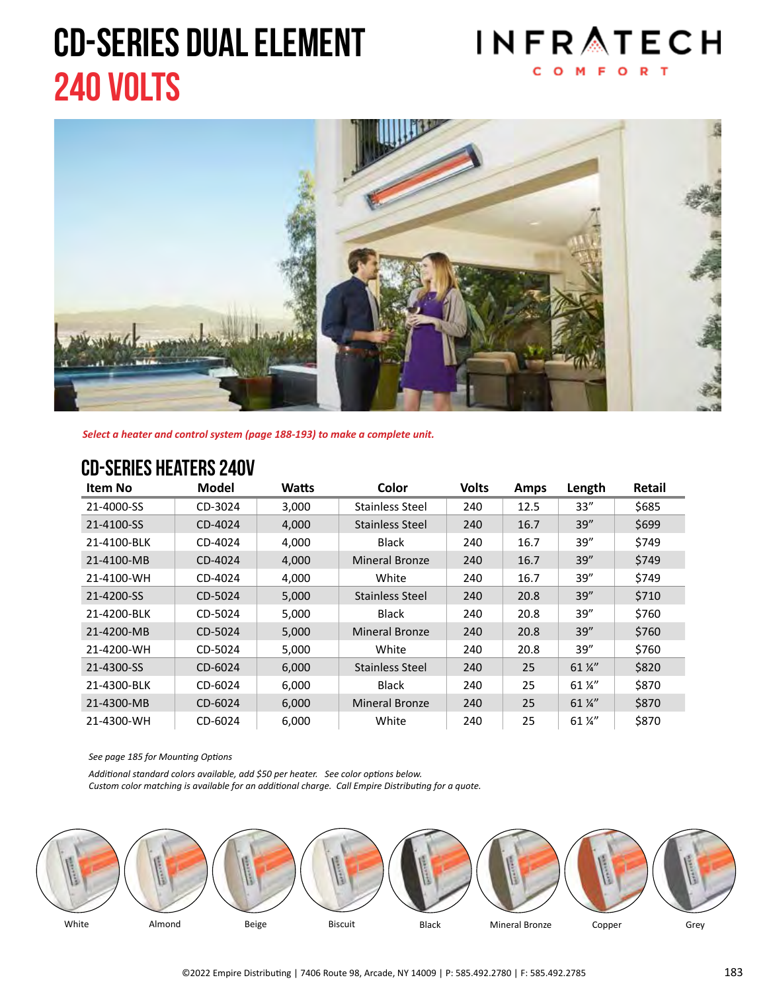# CD-Series dual element 240 VOLTS

![](_page_5_Picture_1.jpeg)

![](_page_5_Picture_2.jpeg)

*Select a heater and control system (page 188-193) to make a complete unit.*

#### CD-Series heaters 240V

| Item No     | Model   | Watts | Color                  | <b>Volts</b> | Amps | Length          | <b>Retail</b> |
|-------------|---------|-------|------------------------|--------------|------|-----------------|---------------|
| 21-4000-SS  | CD-3024 | 3,000 | Stainless Steel        | 240          | 12.5 | 33"             | \$685         |
| 21-4100-SS  | CD-4024 | 4.000 | <b>Stainless Steel</b> | 240          | 16.7 | 39''            | \$699         |
| 21-4100-BLK | CD-4024 | 4,000 | Black                  | 240          | 16.7 | 39"             | \$749         |
| 21-4100-MB  | CD-4024 | 4,000 | <b>Mineral Bronze</b>  | 240          | 16.7 | 39''            | \$749         |
| 21-4100-WH  | CD-4024 | 4,000 | White                  | 240          | 16.7 | 39"             | \$749         |
| 21-4200-SS  | CD-5024 | 5,000 | Stainless Steel        | 240          | 20.8 | 39''            | \$710         |
| 21-4200-BLK | CD-5024 | 5,000 | <b>Black</b>           | 240          | 20.8 | 39"             | \$760         |
| 21-4200-MB  | CD-5024 | 5,000 | <b>Mineral Bronze</b>  | 240          | 20.8 | 39''            | \$760         |
| 21-4200-WH  | CD-5024 | 5,000 | White                  | 240          | 20.8 | 39"             | \$760         |
| 21-4300-SS  | CD-6024 | 6,000 | Stainless Steel        | 240          | 25   | $61\frac{1}{4}$ | \$820         |
| 21-4300-BLK | CD-6024 | 6,000 | <b>Black</b>           | 240          | 25   | 61 %"           | \$870         |
| 21-4300-MB  | CD-6024 | 6,000 | <b>Mineral Bronze</b>  | 240          | 25   | $61\frac{1}{4}$ | \$870         |
| 21-4300-WH  | CD-6024 | 6,000 | White                  | 240          | 25   | 61 %"           | \$870         |

*See page 185 for Mounting Options*

*Additional standard colors available, add \$50 per heater. See color options below.*

*Custom color matching is available for an additional charge. Call Empire Distributing for a quote.*

![](_page_5_Figure_9.jpeg)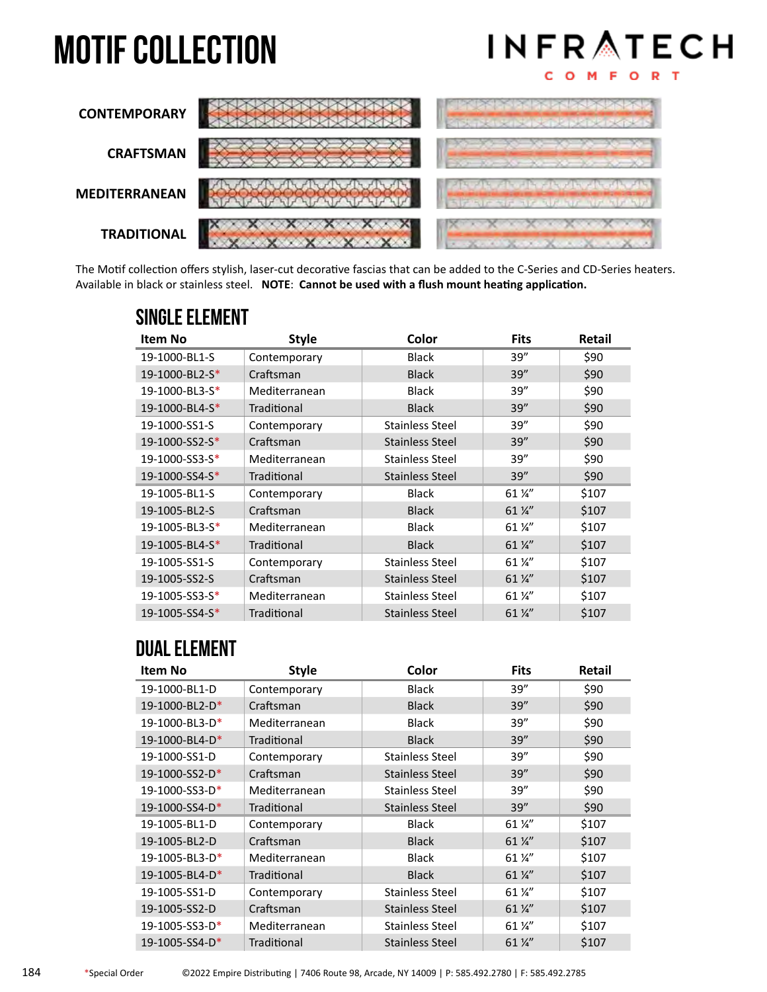# **MOTIF COLLECTION**

![](_page_6_Figure_1.jpeg)

![](_page_6_Figure_2.jpeg)

The Motif collection offers stylish, laser-cut decorative fascias that can be added to the C-Series and CD-Series heaters. Available in black or stainless steel. **NOTE**: **Cannot be used with a flush mount heating application.**

| Item No              | <b>Style</b>  | Color                  | <b>Fits</b>                | Retail |
|----------------------|---------------|------------------------|----------------------------|--------|
| 19-1000-BL1-S        | Contemporary  | <b>Black</b>           | 39"                        | \$90   |
| 19-1000-BL2-S*       | Craftsman     | <b>Black</b>           | 39''                       | \$90   |
| 19-1000-BL3-S*       | Mediterranean | <b>Black</b>           | 39''                       | \$90   |
| 19-1000-BL4-S*       | Traditional   | <b>Black</b>           | 39''                       | \$90   |
| 19-1000-SS1-S        | Contemporary  | <b>Stainless Steel</b> | 39''                       | \$90   |
| $19-1000-SS2-S*$     | Craftsman     | Stainless Steel        | 39''                       | \$90   |
| 19-1000-SS3-S*       | Mediterranean | <b>Stainless Steel</b> | 39''                       | \$90   |
| 19-1000-SS4-S*       | Traditional   | Stainless Steel        | 39''                       | \$90   |
| 19-1005-BL1-S        | Contemporary  | <b>Black</b>           | 61 1/4"                    | \$107  |
| 19-1005-BL2-S        | Craftsman     | <b>Black</b>           | 61 1/4"                    | \$107  |
| $19 - 1005 - BL3-S*$ | Mediterranean | <b>Black</b>           | $61\,\frac{\cancel{1}}{4}$ | \$107  |
| 19-1005-BL4-S*       | Traditional   | <b>Black</b>           | 61 %"                      | \$107  |
| 19-1005-SS1-S        | Contemporary  | Stainless Steel        | 61 %"                      | \$107  |
| 19-1005-SS2-S        | Craftsman     | <b>Stainless Steel</b> | $61\frac{1}{4}$            | \$107  |
| 19-1005-SS3-S*       | Mediterranean | Stainless Steel        | $61\frac{1}{4}$            | \$107  |
| 19-1005-SS4-S*       | Traditional   | Stainless Steel        | $61\frac{1}{4}$            | \$107  |

#### Single Element

### Dual Element

| Item No        | <b>Style</b>  | Color                  | <b>Fits</b>                | <b>Retail</b> |
|----------------|---------------|------------------------|----------------------------|---------------|
| 19-1000-BL1-D  | Contemporary  | <b>Black</b>           | 39''                       | \$90          |
| 19-1000-BL2-D* | Craftsman     | <b>Black</b>           | 39''                       | \$90          |
| 19-1000-BL3-D* | Mediterranean | <b>Black</b>           | 39''                       | \$90          |
| 19-1000-BL4-D* | Traditional   | <b>Black</b>           | 39''                       | \$90          |
| 19-1000-SS1-D  | Contemporary  | <b>Stainless Steel</b> | 39''                       | \$90          |
| 19-1000-SS2-D* | Craftsman     | Stainless Steel        | 39''                       | \$90          |
| 19-1000-SS3-D* | Mediterranean | <b>Stainless Steel</b> | 39''                       | \$90          |
| 19-1000-SS4-D* | Traditional   | <b>Stainless Steel</b> | 39''                       | \$90          |
| 19-1005-BL1-D  | Contemporary  | <b>Black</b>           | 61 %"                      | \$107         |
| 19-1005-BL2-D  | Craftsman     | <b>Black</b>           | 61 %"                      | \$107         |
| 19-1005-BL3-D* | Mediterranean | <b>Black</b>           | $61\,\frac{\cancel{1}}{4}$ | \$107         |
| 19-1005-BL4-D* | Traditional   | <b>Black</b>           | 61 %"                      | \$107         |
| 19-1005-SS1-D  | Contemporary  | <b>Stainless Steel</b> | $61\frac{1}{4}$            | \$107         |
| 19-1005-SS2-D  | Craftsman     | <b>Stainless Steel</b> | 61 %"                      | \$107         |
| 19-1005-SS3-D* | Mediterranean | <b>Stainless Steel</b> | $61\,\frac{\cancel{1}}{4}$ | \$107         |
| 19-1005-SS4-D* | Traditional   | <b>Stainless Steel</b> | $61\frac{1}{4}$            | \$107         |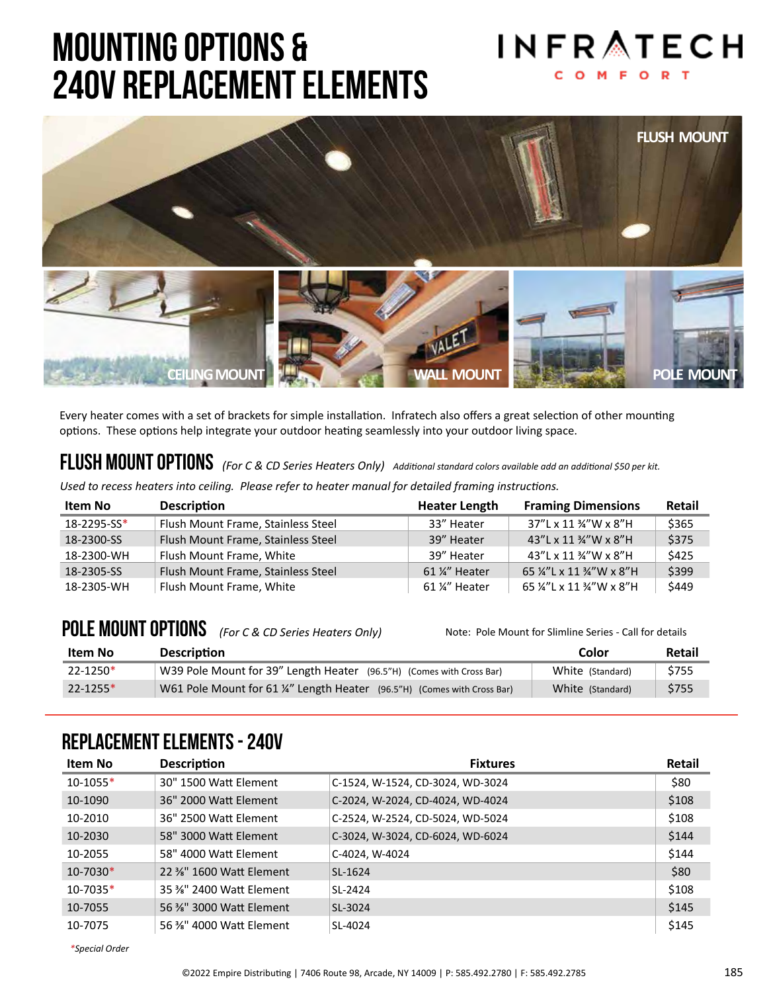## mounting options & 240V Replacement Elements

![](_page_7_Picture_1.jpeg)

![](_page_7_Picture_2.jpeg)

Every heater comes with a set of brackets for simple installation. Infratech also offers a great selection of other mounting options. These options help integrate your outdoor heating seamlessly into your outdoor living space.

### FLUSH MOUNT OPTIONS (For C & CD Series Heaters Only) Additional standard colors available add an additional \$50 per kit.

*Used to recess heaters into ceiling. Please refer to heater manual for detailed framing instructions.*

| Item No     | <b>Description</b>                 | <b>Heater Length</b> | <b>Framing Dimensions</b> | Retail |
|-------------|------------------------------------|----------------------|---------------------------|--------|
| 18-2295-SS* | Flush Mount Frame, Stainless Steel | 33" Heater           | 37"L x 11 %"W x 8"H       | \$365  |
| 18-2300-SS  | Flush Mount Frame, Stainless Steel | 39" Heater           | 43"L x 11 %"W x 8"H       | \$375  |
| 18-2300-WH  | Flush Mount Frame, White           | 39" Heater           | 43"L x 11 %"W x 8"H       | \$425  |
| 18-2305-SS  | Flush Mount Frame, Stainless Steel | 61 %" Heater         | 65 %"L x 11 %"W x 8"H     | \$399  |
| 18-2305-WH  | Flush Mount Frame, White           | 61 ¼" Heater         | 65 ¼"L x 11 ¾"W x 8"H     | \$449  |

### POLE MOUNT OPTIONS *(For C & CD Series Heaters Only)* Note: Pole Mount for Slimline Series - Call for details

| Item No      | <b>Description</b>                                                     | Color            | Retail |
|--------------|------------------------------------------------------------------------|------------------|--------|
| $22 - 1250*$ | W39 Pole Mount for 39" Length Heater (96.5"H) (Comes with Cross Bar)   | White (Standard) | \$755  |
| $22 - 1255*$ | W61 Pole Mount for 61 %" Length Heater (96.5"H) (Comes with Cross Bar) | White (Standard) | \$755  |

#### replacement Elements - 240V

| Item No      | <b>Description</b>      | <b>Fixtures</b>                  | Retail |
|--------------|-------------------------|----------------------------------|--------|
| $10 - 1055*$ | 30" 1500 Watt Element   | C-1524, W-1524, CD-3024, WD-3024 | \$80   |
| 10-1090      | 36" 2000 Watt Element   | C-2024, W-2024, CD-4024, WD-4024 | \$108  |
| 10-2010      | 36" 2500 Watt Element   | C-2524, W-2524, CD-5024, WD-5024 | \$108  |
| 10-2030      | 58" 3000 Watt Element   | C-3024, W-3024, CD-6024, WD-6024 | \$144  |
| 10-2055      | 58" 4000 Watt Element   | C-4024, W-4024                   | \$144  |
| $10 - 7030*$ | 22 %" 1600 Watt Element | SL-1624                          | \$80   |
| $10 - 7035*$ | 35 %" 2400 Watt Element | SL-2424                          | \$108  |
| 10-7055      | 56 %" 3000 Watt Element | SL-3024                          | \$145  |
| 10-7075      | 56 %" 4000 Watt Element | SL-4024                          | \$145  |

*\*Special Order*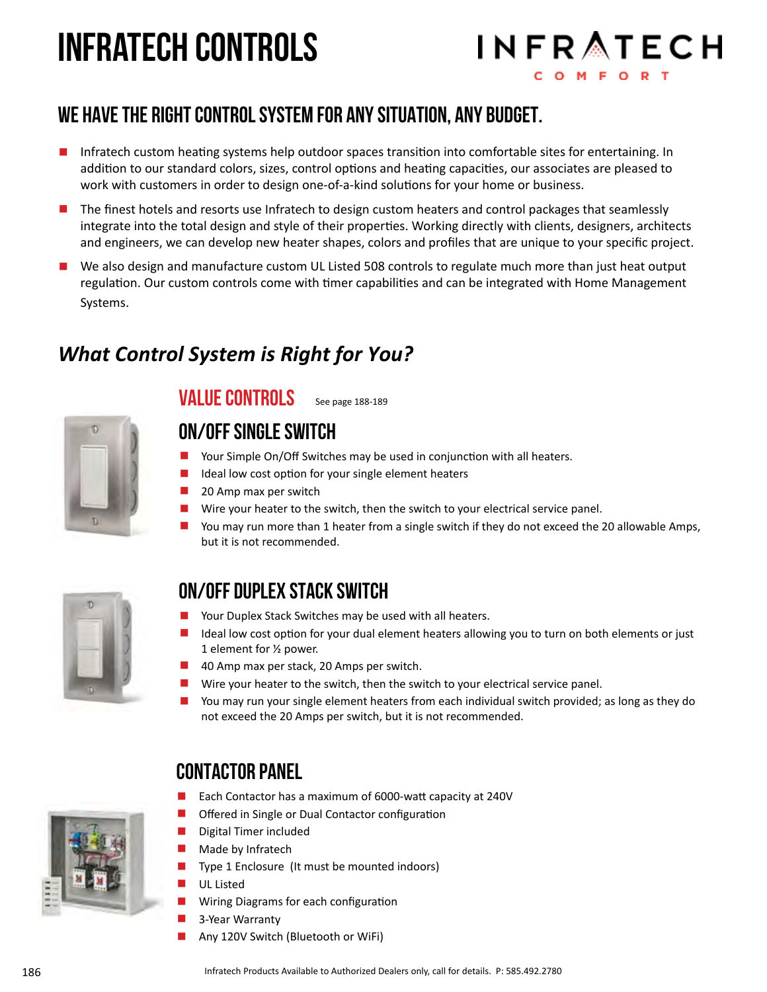# infratech controls

![](_page_8_Picture_1.jpeg)

### We have the right control system for any situation, any budget.

- Infratech custom heating systems help outdoor spaces transition into comfortable sites for entertaining. In addition to our standard colors, sizes, control options and heating capacities, our associates are pleased to work with customers in order to design one-of-a-kind solutions for your home or business.
- The finest hotels and resorts use Infratech to design custom heaters and control packages that seamlessly integrate into the total design and style of their properties. Working directly with clients, designers, architects and engineers, we can develop new heater shapes, colors and profiles that are unique to your specific project.
- We also design and manufacture custom UL Listed 508 controls to regulate much more than just heat output regulation. Our custom controls come with timer capabilities and can be integrated with Home Management Systems.

### *What Control System is Right for You?*

![](_page_8_Picture_7.jpeg)

#### value controls See page 188-189

#### on/off Single switch

- Your Simple On/Off Switches may be used in conjunction with all heaters.<br>■ Ideal low cost ontion for your single element heaters
- Ideal low cost option for your single element heaters
- 20 Amp max per switch
- **E** Wire your heater to the switch, then the switch to your electrical service panel.<br> **E** You may run more than 1 heater from a single switch if they do not exceed the 3
- You may run more than 1 heater from a single switch if they do not exceed the 20 allowable Amps, but it is not recommended.

![](_page_8_Picture_15.jpeg)

#### On/OFF duplex stack switch

- Your Duplex Stack Switches may be used with all heaters.<br>■ Ideal low cost option for your dual element heaters allow
- Ideal low cost option for your dual element heaters allowing you to turn on both elements or just 1 element for ½ power.
- 40 Amp max per stack, 20 Amps per switch.
- **E** Wire your heater to the switch, then the switch to your electrical service panel.<br> **E** You may run your single element heaters from each individual switch provided:
- You may run your single element heaters from each individual switch provided; as long as they do not exceed the 20 Amps per switch, but it is not recommended.

### Contactor Panel

- Each Contactor has a maximum of 6000-watt capacity at 240V<br>■ Offered in Single or Dual Contactor configuration
- Offered in Single or Dual Contactor configuration<br>■ Digital Timer included
- Digital Timer included<br>■ Made by Infratech
- $\blacksquare$  Made by Infratech<br> $\blacksquare$  Tyne 1 Enclosure (
- $\blacksquare$  Type 1 Enclosure (It must be mounted indoors)<br> $\blacksquare$  UI Listed
- **UL Listed**
- **E** Wiring Diagrams for each configuration<br> **E** 3-Year Warranty
- 3-Year Warranty<br>■ Any 120V Switch
- Any 120V Switch (Bluetooth or WiFi)

![](_page_8_Picture_32.jpeg)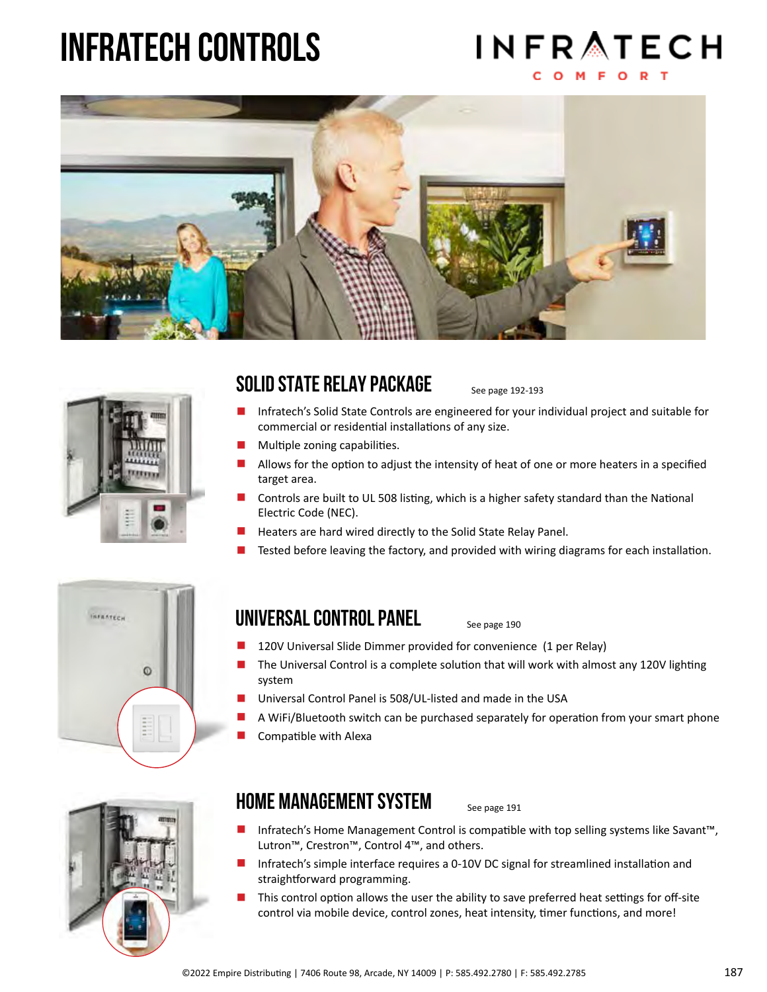# infratech controls

# **INFRATECH**

![](_page_9_Picture_2.jpeg)

![](_page_9_Picture_3.jpeg)

#### solid state relay package

See page 192-193

- **E** Infratech's Solid State Controls are engineered for your individual project and suitable for commercial or residential installations of any size.
- $\blacksquare$  Multiple zoning capabilities.<br> $\blacksquare$  Allows for the ontion to adju
- Allows for the option to adjust the intensity of heat of one or more heaters in a specified target area.
- Controls are built to UL 508 listing, which is a higher safety standard than the National Electric Code (NEC).
- $\blacksquare$  Heaters are hard wired directly to the Solid State Relay Panel.<br> $\blacksquare$  Tested before leaving the factory and provided with wiring dia
- Tested before leaving the factory, and provided with wiring diagrams for each installation.

![](_page_9_Picture_12.jpeg)

### UNIVERSAL CONTROL PANEL See page 190

- 120V Universal Slide Dimmer provided for convenience (1 per Relay)
- The Universal Control is a complete solution that will work with almost any 120V lighting system
- Universal Control Panel is 508/UL-listed and made in the USA
- A WiFi/Bluetooth switch can be purchased separately for operation from your smart phone
- Compatible with Alexa

![](_page_9_Picture_20.jpeg)

#### home management system

See page 191

- Infratech's Home Management Control is compatible with top selling systems like Savant™, Lutron™, Crestron™, Control 4™, and others.
- **Infratech's simple interface requires a 0-10V DC signal for streamlined installation and** straightforward programming.
- This control option allows the user the ability to save preferred heat settings for off-site control via mobile device, control zones, heat intensity, timer functions, and more!